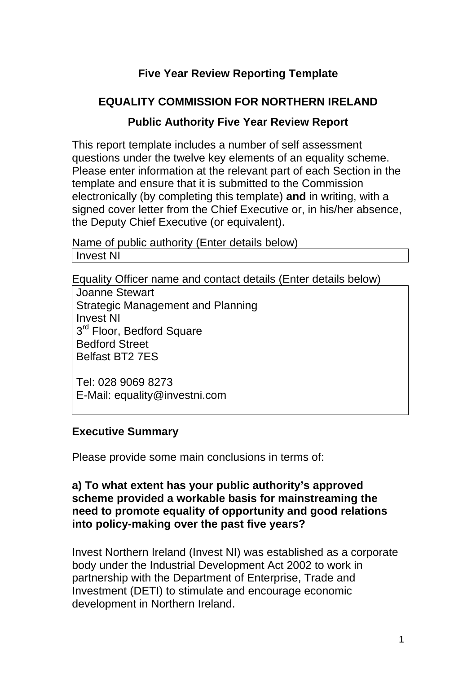# **Five Year Review Reporting Template**

### **EQUALITY COMMISSION FOR NORTHERN IRELAND**

#### **Public Authority Five Year Review Report**

This report template includes a number of self assessment questions under the twelve key elements of an equality scheme. Please enter information at the relevant part of each Section in the template and ensure that it is submitted to the Commission electronically (by completing this template) **and** in writing, with a signed cover letter from the Chief Executive or, in his/her absence, the Deputy Chief Executive (or equivalent).

Name of public authority (Enter details below) Invest NI

Equality Officer name and contact details (Enter details below)

Joanne Stewart Strategic Management and Planning Invest NI 3<sup>rd</sup> Floor, Bedford Square Bedford Street Belfast BT2 7ES

Tel: 028 9069 8273 E-Mail: equality@investni.com

#### **Executive Summary**

Please provide some main conclusions in terms of:

#### **a) To what extent has your public authority's approved scheme provided a workable basis for mainstreaming the need to promote equality of opportunity and good relations into policy-making over the past five years?**

Invest Northern Ireland (Invest NI) was established as a corporate body under the Industrial Development Act 2002 to work in partnership with the Department of Enterprise, Trade and Investment (DETI) to stimulate and encourage economic development in Northern Ireland.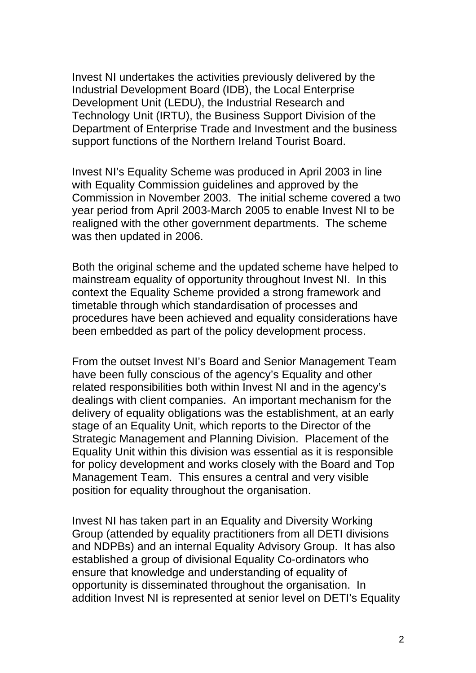Invest NI undertakes the activities previously delivered by the Industrial Development Board (IDB), the Local Enterprise Development Unit (LEDU), the Industrial Research and Technology Unit (IRTU), the Business Support Division of the Department of Enterprise Trade and Investment and the business support functions of the Northern Ireland Tourist Board.

Invest NI's Equality Scheme was produced in April 2003 in line with Equality Commission guidelines and approved by the Commission in November 2003. The initial scheme covered a two year period from April 2003-March 2005 to enable Invest NI to be realigned with the other government departments. The scheme was then updated in 2006.

Both the original scheme and the updated scheme have helped to mainstream equality of opportunity throughout Invest NI. In this context the Equality Scheme provided a strong framework and timetable through which standardisation of processes and procedures have been achieved and equality considerations have been embedded as part of the policy development process.

From the outset Invest NI's Board and Senior Management Team have been fully conscious of the agency's Equality and other related responsibilities both within Invest NI and in the agency's dealings with client companies. An important mechanism for the delivery of equality obligations was the establishment, at an early stage of an Equality Unit, which reports to the Director of the Strategic Management and Planning Division. Placement of the Equality Unit within this division was essential as it is responsible for policy development and works closely with the Board and Top Management Team. This ensures a central and very visible position for equality throughout the organisation.

Invest NI has taken part in an Equality and Diversity Working Group (attended by equality practitioners from all DETI divisions and NDPBs) and an internal Equality Advisory Group. It has also established a group of divisional Equality Co-ordinators who ensure that knowledge and understanding of equality of opportunity is disseminated throughout the organisation. In addition Invest NI is represented at senior level on DETI's Equality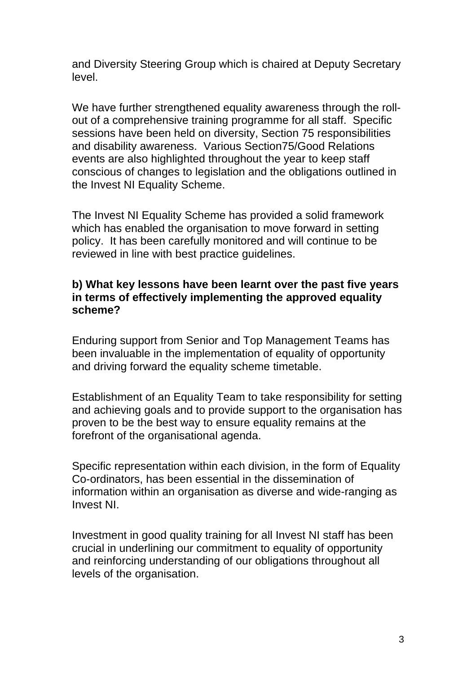and Diversity Steering Group which is chaired at Deputy Secretary level.

We have further strengthened equality awareness through the rollout of a comprehensive training programme for all staff. Specific sessions have been held on diversity, Section 75 responsibilities and disability awareness. Various Section75/Good Relations events are also highlighted throughout the year to keep staff conscious of changes to legislation and the obligations outlined in the Invest NI Equality Scheme.

The Invest NI Equality Scheme has provided a solid framework which has enabled the organisation to move forward in setting policy. It has been carefully monitored and will continue to be reviewed in line with best practice guidelines.

#### **b) What key lessons have been learnt over the past five years in terms of effectively implementing the approved equality scheme?**

Enduring support from Senior and Top Management Teams has been invaluable in the implementation of equality of opportunity and driving forward the equality scheme timetable.

Establishment of an Equality Team to take responsibility for setting and achieving goals and to provide support to the organisation has proven to be the best way to ensure equality remains at the forefront of the organisational agenda.

Specific representation within each division, in the form of Equality Co-ordinators, has been essential in the dissemination of information within an organisation as diverse and wide-ranging as Invest NI.

Investment in good quality training for all Invest NI staff has been crucial in underlining our commitment to equality of opportunity and reinforcing understanding of our obligations throughout all levels of the organisation.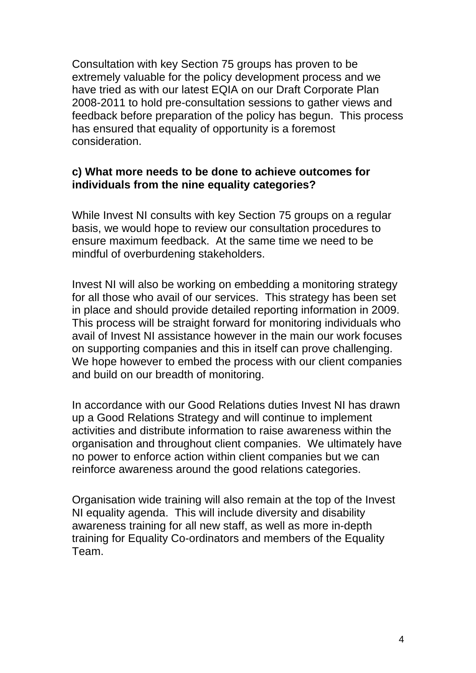Consultation with key Section 75 groups has proven to be extremely valuable for the policy development process and we have tried as with our latest EQIA on our Draft Corporate Plan 2008-2011 to hold pre-consultation sessions to gather views and feedback before preparation of the policy has begun. This process has ensured that equality of opportunity is a foremost consideration.

#### **c) What more needs to be done to achieve outcomes for individuals from the nine equality categories?**

While Invest NI consults with key Section 75 groups on a regular basis, we would hope to review our consultation procedures to ensure maximum feedback. At the same time we need to be mindful of overburdening stakeholders.

Invest NI will also be working on embedding a monitoring strategy for all those who avail of our services. This strategy has been set in place and should provide detailed reporting information in 2009. This process will be straight forward for monitoring individuals who avail of Invest NI assistance however in the main our work focuses on supporting companies and this in itself can prove challenging. We hope however to embed the process with our client companies and build on our breadth of monitoring.

In accordance with our Good Relations duties Invest NI has drawn up a Good Relations Strategy and will continue to implement activities and distribute information to raise awareness within the organisation and throughout client companies. We ultimately have no power to enforce action within client companies but we can reinforce awareness around the good relations categories.

Organisation wide training will also remain at the top of the Invest NI equality agenda. This will include diversity and disability awareness training for all new staff, as well as more in-depth training for Equality Co-ordinators and members of the Equality Team.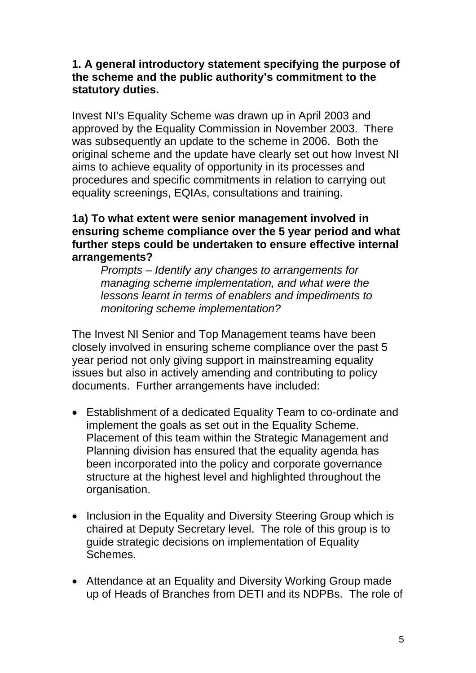#### **1. A general introductory statement specifying the purpose of the scheme and the public authority's commitment to the statutory duties.**

Invest NI's Equality Scheme was drawn up in April 2003 and approved by the Equality Commission in November 2003. There was subsequently an update to the scheme in 2006. Both the original scheme and the update have clearly set out how Invest NI aims to achieve equality of opportunity in its processes and procedures and specific commitments in relation to carrying out equality screenings, EQIAs, consultations and training.

#### **1a) To what extent were senior management involved in ensuring scheme compliance over the 5 year period and what further steps could be undertaken to ensure effective internal arrangements?**

*Prompts – Identify any changes to arrangements for managing scheme implementation, and what were the lessons learnt in terms of enablers and impediments to monitoring scheme implementation?* 

The Invest NI Senior and Top Management teams have been closely involved in ensuring scheme compliance over the past 5 year period not only giving support in mainstreaming equality issues but also in actively amending and contributing to policy documents. Further arrangements have included:

- Establishment of a dedicated Equality Team to co-ordinate and implement the goals as set out in the Equality Scheme. Placement of this team within the Strategic Management and Planning division has ensured that the equality agenda has been incorporated into the policy and corporate governance structure at the highest level and highlighted throughout the organisation.
- Inclusion in the Equality and Diversity Steering Group which is chaired at Deputy Secretary level. The role of this group is to guide strategic decisions on implementation of Equality Schemes.
- Attendance at an Equality and Diversity Working Group made up of Heads of Branches from DETI and its NDPBs. The role of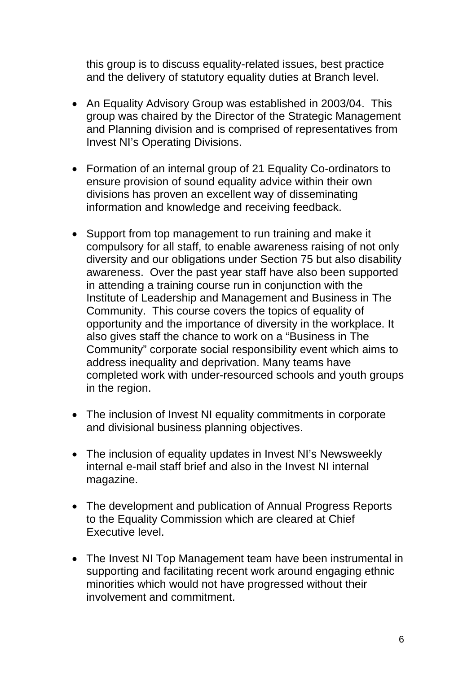this group is to discuss equality-related issues, best practice and the delivery of statutory equality duties at Branch level.

- An Equality Advisory Group was established in 2003/04. This group was chaired by the Director of the Strategic Management and Planning division and is comprised of representatives from Invest NI's Operating Divisions.
- Formation of an internal group of 21 Equality Co-ordinators to ensure provision of sound equality advice within their own divisions has proven an excellent way of disseminating information and knowledge and receiving feedback.
- Support from top management to run training and make it compulsory for all staff, to enable awareness raising of not only diversity and our obligations under Section 75 but also disability awareness. Over the past year staff have also been supported in attending a training course run in conjunction with the Institute of Leadership and Management and Business in The Community. This course covers the topics of equality of opportunity and the importance of diversity in the workplace. It also gives staff the chance to work on a "Business in The Community" corporate social responsibility event which aims to address inequality and deprivation. Many teams have completed work with under-resourced schools and youth groups in the region.
- The inclusion of Invest NI equality commitments in corporate and divisional business planning objectives.
- The inclusion of equality updates in Invest NI's Newsweekly internal e-mail staff brief and also in the Invest NI internal magazine.
- The development and publication of Annual Progress Reports to the Equality Commission which are cleared at Chief Executive level.
- The Invest NI Top Management team have been instrumental in supporting and facilitating recent work around engaging ethnic minorities which would not have progressed without their involvement and commitment.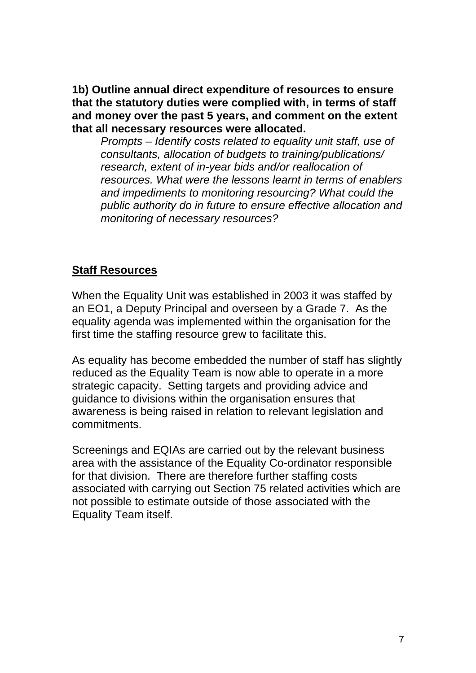**1b) Outline annual direct expenditure of resources to ensure that the statutory duties were complied with, in terms of staff and money over the past 5 years, and comment on the extent that all necessary resources were allocated.** 

*Prompts – Identify costs related to equality unit staff, use of consultants, allocation of budgets to training/publications/ research, extent of in-year bids and/or reallocation of resources. What were the lessons learnt in terms of enablers and impediments to monitoring resourcing? What could the public authority do in future to ensure effective allocation and monitoring of necessary resources?* 

#### **Staff Resources**

When the Equality Unit was established in 2003 it was staffed by an EO1, a Deputy Principal and overseen by a Grade 7. As the equality agenda was implemented within the organisation for the first time the staffing resource grew to facilitate this.

As equality has become embedded the number of staff has slightly reduced as the Equality Team is now able to operate in a more strategic capacity. Setting targets and providing advice and guidance to divisions within the organisation ensures that awareness is being raised in relation to relevant legislation and commitments.

Screenings and EQIAs are carried out by the relevant business area with the assistance of the Equality Co-ordinator responsible for that division. There are therefore further staffing costs associated with carrying out Section 75 related activities which are not possible to estimate outside of those associated with the Equality Team itself.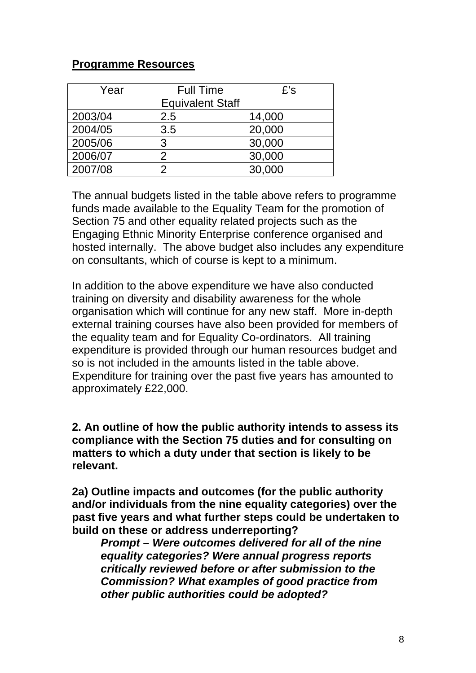#### **Programme Resources**

| Year    | <b>Full Time</b>        | $E$ 's |  |
|---------|-------------------------|--------|--|
|         | <b>Equivalent Staff</b> |        |  |
| 2003/04 | 2.5                     | 14,000 |  |
| 2004/05 | 3.5                     | 20,000 |  |
| 2005/06 | 3                       | 30,000 |  |
| 2006/07 | $\mathcal{P}$           | 30,000 |  |
| 2007/08 | 2                       | 30,000 |  |

The annual budgets listed in the table above refers to programme funds made available to the Equality Team for the promotion of Section 75 and other equality related projects such as the Engaging Ethnic Minority Enterprise conference organised and hosted internally. The above budget also includes any expenditure on consultants, which of course is kept to a minimum.

In addition to the above expenditure we have also conducted training on diversity and disability awareness for the whole organisation which will continue for any new staff. More in-depth external training courses have also been provided for members of the equality team and for Equality Co-ordinators. All training expenditure is provided through our human resources budget and so is not included in the amounts listed in the table above. Expenditure for training over the past five years has amounted to approximately £22,000.

**2. An outline of how the public authority intends to assess its compliance with the Section 75 duties and for consulting on matters to which a duty under that section is likely to be relevant.** 

**2a) Outline impacts and outcomes (for the public authority and/or individuals from the nine equality categories) over the past five years and what further steps could be undertaken to build on these or address underreporting?** 

*Prompt – Were outcomes delivered for all of the nine equality categories? Were annual progress reports critically reviewed before or after submission to the Commission? What examples of good practice from other public authorities could be adopted?*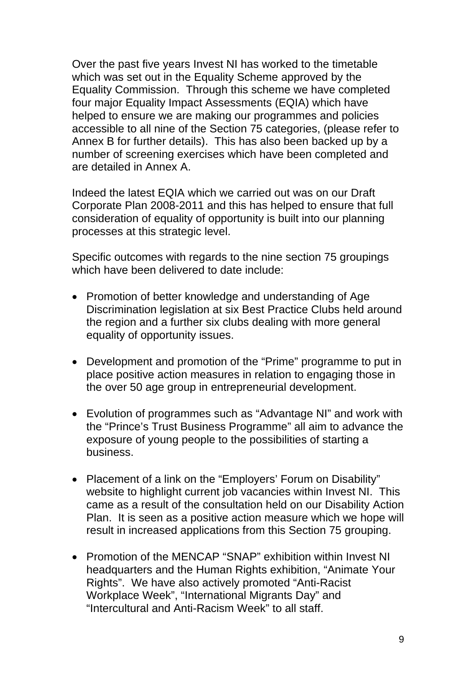Over the past five years Invest NI has worked to the timetable which was set out in the Equality Scheme approved by the Equality Commission. Through this scheme we have completed four major Equality Impact Assessments (EQIA) which have helped to ensure we are making our programmes and policies accessible to all nine of the Section 75 categories, (please refer to Annex B for further details). This has also been backed up by a number of screening exercises which have been completed and are detailed in Annex A.

Indeed the latest EQIA which we carried out was on our Draft Corporate Plan 2008-2011 and this has helped to ensure that full consideration of equality of opportunity is built into our planning processes at this strategic level.

Specific outcomes with regards to the nine section 75 groupings which have been delivered to date include:

- Promotion of better knowledge and understanding of Age Discrimination legislation at six Best Practice Clubs held around the region and a further six clubs dealing with more general equality of opportunity issues.
- Development and promotion of the "Prime" programme to put in place positive action measures in relation to engaging those in the over 50 age group in entrepreneurial development.
- Evolution of programmes such as "Advantage NI" and work with the "Prince's Trust Business Programme" all aim to advance the exposure of young people to the possibilities of starting a business.
- Placement of a link on the "Employers' Forum on Disability" website to highlight current job vacancies within Invest NI. This came as a result of the consultation held on our Disability Action Plan. It is seen as a positive action measure which we hope will result in increased applications from this Section 75 grouping.
- Promotion of the MENCAP "SNAP" exhibition within Invest NI headquarters and the Human Rights exhibition, "Animate Your Rights". We have also actively promoted "Anti-Racist Workplace Week", "International Migrants Day" and "Intercultural and Anti-Racism Week" to all staff.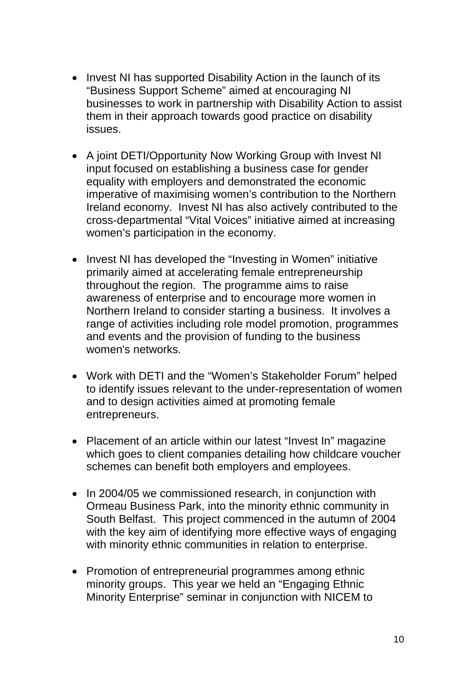- Invest NI has supported Disability Action in the launch of its "Business Support Scheme" aimed at encouraging NI businesses to work in partnership with Disability Action to assist them in their approach towards good practice on disability issues.
- A joint DETI/Opportunity Now Working Group with Invest NI input focused on establishing a business case for gender equality with employers and demonstrated the economic imperative of maximising women's contribution to the Northern Ireland economy. Invest NI has also actively contributed to the cross-departmental "Vital Voices" initiative aimed at increasing women's participation in the economy.
- Invest NI has developed the "Investing in Women" initiative primarily aimed at accelerating female entrepreneurship throughout the region. The programme aims to raise awareness of enterprise and to encourage more women in Northern Ireland to consider starting a business. It involves a range of activities including role model promotion, programmes and events and the provision of funding to the business women's networks.
- Work with DETI and the "Women's Stakeholder Forum" helped to identify issues relevant to the under-representation of women and to design activities aimed at promoting female entrepreneurs.
- Placement of an article within our latest "Invest In" magazine which goes to client companies detailing how childcare voucher schemes can benefit both employers and employees.
- In 2004/05 we commissioned research, in conjunction with Ormeau Business Park, into the minority ethnic community in South Belfast. This project commenced in the autumn of 2004 with the key aim of identifying more effective ways of engaging with minority ethnic communities in relation to enterprise.
- Promotion of entrepreneurial programmes among ethnic minority groups. This year we held an "Engaging Ethnic Minority Enterprise" seminar in conjunction with NICEM to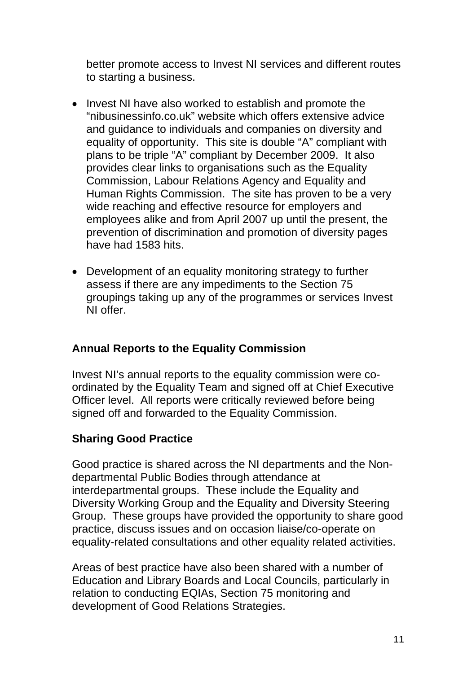better promote access to Invest NI services and different routes to starting a business.

- Invest NI have also worked to establish and promote the "nibusinessinfo.co.uk" website which offers extensive advice and guidance to individuals and companies on diversity and equality of opportunity. This site is double "A" compliant with plans to be triple "A" compliant by December 2009. It also provides clear links to organisations such as the Equality Commission, Labour Relations Agency and Equality and Human Rights Commission. The site has proven to be a very wide reaching and effective resource for employers and employees alike and from April 2007 up until the present, the prevention of discrimination and promotion of diversity pages have had 1583 hits.
- Development of an equality monitoring strategy to further assess if there are any impediments to the Section 75 groupings taking up any of the programmes or services Invest NI offer.

### **Annual Reports to the Equality Commission**

Invest NI's annual reports to the equality commission were coordinated by the Equality Team and signed off at Chief Executive Officer level. All reports were critically reviewed before being signed off and forwarded to the Equality Commission.

#### **Sharing Good Practice**

Good practice is shared across the NI departments and the Nondepartmental Public Bodies through attendance at interdepartmental groups. These include the Equality and Diversity Working Group and the Equality and Diversity Steering Group. These groups have provided the opportunity to share good practice, discuss issues and on occasion liaise/co-operate on equality-related consultations and other equality related activities.

Areas of best practice have also been shared with a number of Education and Library Boards and Local Councils, particularly in relation to conducting EQIAs, Section 75 monitoring and development of Good Relations Strategies.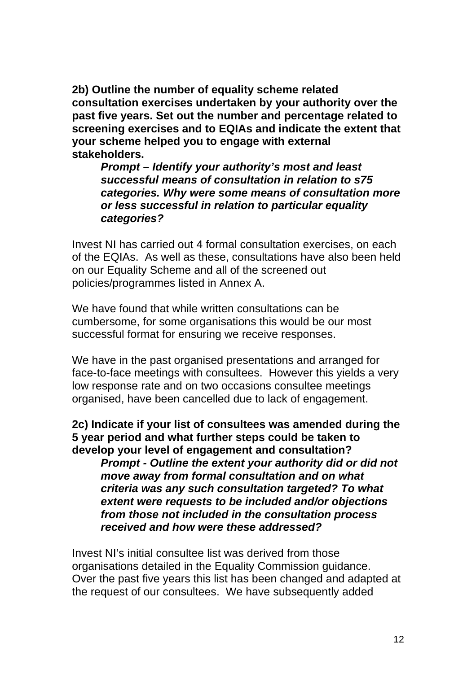**2b) Outline the number of equality scheme related consultation exercises undertaken by your authority over the past five years. Set out the number and percentage related to screening exercises and to EQIAs and indicate the extent that your scheme helped you to engage with external stakeholders.** 

*Prompt – Identify your authority's most and least successful means of consultation in relation to s75 categories. Why were some means of consultation more or less successful in relation to particular equality categories?* 

Invest NI has carried out 4 formal consultation exercises, on each of the EQIAs. As well as these, consultations have also been held on our Equality Scheme and all of the screened out policies/programmes listed in Annex A.

We have found that while written consultations can be cumbersome, for some organisations this would be our most successful format for ensuring we receive responses.

We have in the past organised presentations and arranged for face-to-face meetings with consultees. However this yields a very low response rate and on two occasions consultee meetings organised, have been cancelled due to lack of engagement.

**2c) Indicate if your list of consultees was amended during the 5 year period and what further steps could be taken to develop your level of engagement and consultation?**  *Prompt - Outline the extent your authority did or did not move away from formal consultation and on what criteria was any such consultation targeted? To what extent were requests to be included and/or objections from those not included in the consultation process received and how were these addressed?* 

Invest NI's initial consultee list was derived from those organisations detailed in the Equality Commission guidance. Over the past five years this list has been changed and adapted at the request of our consultees. We have subsequently added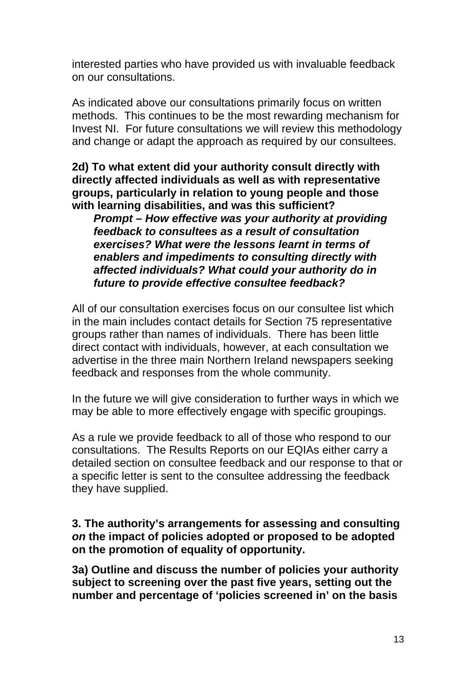interested parties who have provided us with invaluable feedback on our consultations.

As indicated above our consultations primarily focus on written methods. This continues to be the most rewarding mechanism for Invest NI. For future consultations we will review this methodology and change or adapt the approach as required by our consultees.

**2d) To what extent did your authority consult directly with directly affected individuals as well as with representative groups, particularly in relation to young people and those with learning disabilities, and was this sufficient?** 

*Prompt – How effective was your authority at providing feedback to consultees as a result of consultation exercises? What were the lessons learnt in terms of enablers and impediments to consulting directly with affected individuals? What could your authority do in future to provide effective consultee feedback?* 

All of our consultation exercises focus on our consultee list which in the main includes contact details for Section 75 representative groups rather than names of individuals. There has been little direct contact with individuals, however, at each consultation we advertise in the three main Northern Ireland newspapers seeking feedback and responses from the whole community.

In the future we will give consideration to further ways in which we may be able to more effectively engage with specific groupings.

As a rule we provide feedback to all of those who respond to our consultations. The Results Reports on our EQIAs either carry a detailed section on consultee feedback and our response to that or a specific letter is sent to the consultee addressing the feedback they have supplied.

**3. The authority's arrangements for assessing and consulting**  *on* **the impact of policies adopted or proposed to be adopted on the promotion of equality of opportunity.**

**3a) Outline and discuss the number of policies your authority subject to screening over the past five years, setting out the number and percentage of 'policies screened in' on the basis**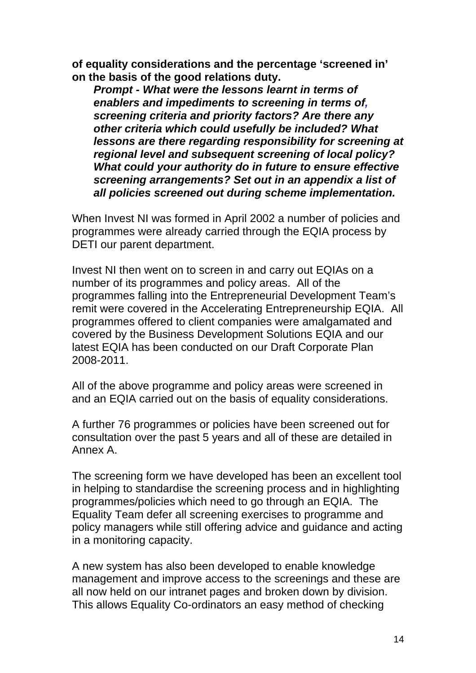**of equality considerations and the percentage 'screened in' on the basis of the good relations duty.** 

*Prompt - What were the lessons learnt in terms of enablers and impediments to screening in terms of, screening criteria and priority factors? Are there any other criteria which could usefully be included? What lessons are there regarding responsibility for screening at regional level and subsequent screening of local policy? What could your authority do in future to ensure effective screening arrangements? Set out in an appendix a list of all policies screened out during scheme implementation.* 

When Invest NI was formed in April 2002 a number of policies and programmes were already carried through the EQIA process by DETI our parent department.

Invest NI then went on to screen in and carry out EQIAs on a number of its programmes and policy areas. All of the programmes falling into the Entrepreneurial Development Team's remit were covered in the Accelerating Entrepreneurship EQIA. All programmes offered to client companies were amalgamated and covered by the Business Development Solutions EQIA and our latest EQIA has been conducted on our Draft Corporate Plan 2008-2011.

All of the above programme and policy areas were screened in and an EQIA carried out on the basis of equality considerations.

A further 76 programmes or policies have been screened out for consultation over the past 5 years and all of these are detailed in Annex A.

The screening form we have developed has been an excellent tool in helping to standardise the screening process and in highlighting programmes/policies which need to go through an EQIA. The Equality Team defer all screening exercises to programme and policy managers while still offering advice and guidance and acting in a monitoring capacity.

A new system has also been developed to enable knowledge management and improve access to the screenings and these are all now held on our intranet pages and broken down by division. This allows Equality Co-ordinators an easy method of checking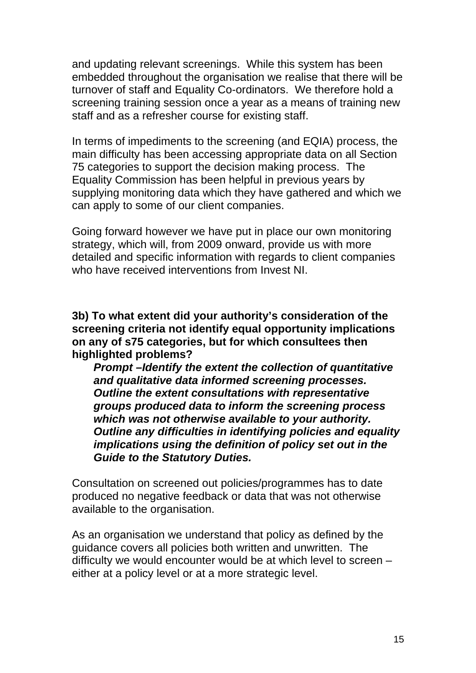and updating relevant screenings. While this system has been embedded throughout the organisation we realise that there will be turnover of staff and Equality Co-ordinators. We therefore hold a screening training session once a year as a means of training new staff and as a refresher course for existing staff.

In terms of impediments to the screening (and EQIA) process, the main difficulty has been accessing appropriate data on all Section 75 categories to support the decision making process. The Equality Commission has been helpful in previous years by supplying monitoring data which they have gathered and which we can apply to some of our client companies.

Going forward however we have put in place our own monitoring strategy, which will, from 2009 onward, provide us with more detailed and specific information with regards to client companies who have received interventions from Invest NI

**3b) To what extent did your authority's consideration of the screening criteria not identify equal opportunity implications on any of s75 categories, but for which consultees then highlighted problems?** 

*Prompt –Identify the extent the collection of quantitative and qualitative data informed screening processes. Outline the extent consultations with representative groups produced data to inform the screening process which was not otherwise available to your authority. Outline any difficulties in identifying policies and equality implications using the definition of policy set out in the Guide to the Statutory Duties.* 

Consultation on screened out policies/programmes has to date produced no negative feedback or data that was not otherwise available to the organisation.

As an organisation we understand that policy as defined by the guidance covers all policies both written and unwritten. The difficulty we would encounter would be at which level to screen – either at a policy level or at a more strategic level.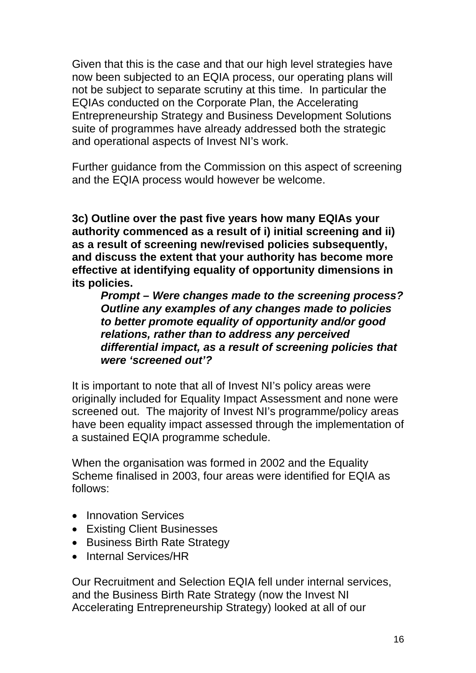Given that this is the case and that our high level strategies have now been subjected to an EQIA process, our operating plans will not be subject to separate scrutiny at this time. In particular the EQIAs conducted on the Corporate Plan, the Accelerating Entrepreneurship Strategy and Business Development Solutions suite of programmes have already addressed both the strategic and operational aspects of Invest NI's work.

Further guidance from the Commission on this aspect of screening and the EQIA process would however be welcome.

**3c) Outline over the past five years how many EQIAs your authority commenced as a result of i) initial screening and ii) as a result of screening new/revised policies subsequently, and discuss the extent that your authority has become more effective at identifying equality of opportunity dimensions in its policies.** 

*Prompt – Were changes made to the screening process? Outline any examples of any changes made to policies to better promote equality of opportunity and/or good relations, rather than to address any perceived differential impact, as a result of screening policies that were 'screened out'?* 

It is important to note that all of Invest NI's policy areas were originally included for Equality Impact Assessment and none were screened out. The majority of Invest NI's programme/policy areas have been equality impact assessed through the implementation of a sustained EQIA programme schedule.

When the organisation was formed in 2002 and the Equality Scheme finalised in 2003, four areas were identified for EQIA as follows:

- Innovation Services
- Existing Client Businesses
- Business Birth Rate Strategy
- Internal Services/HR

Our Recruitment and Selection EQIA fell under internal services, and the Business Birth Rate Strategy (now the Invest NI Accelerating Entrepreneurship Strategy) looked at all of our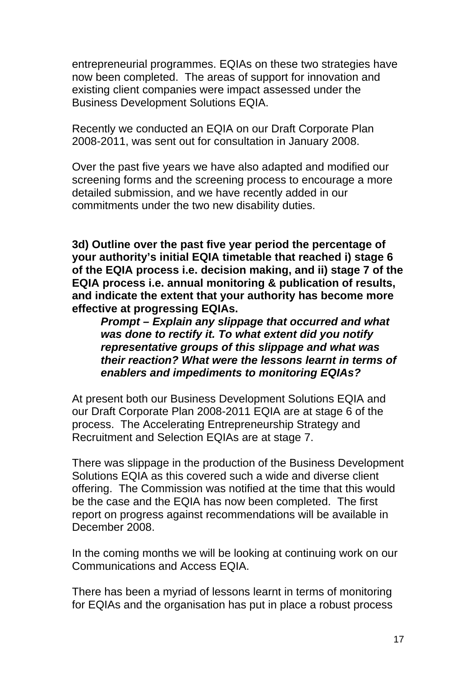entrepreneurial programmes. EQIAs on these two strategies have now been completed. The areas of support for innovation and existing client companies were impact assessed under the Business Development Solutions EQIA.

Recently we conducted an EQIA on our Draft Corporate Plan 2008-2011, was sent out for consultation in January 2008.

Over the past five years we have also adapted and modified our screening forms and the screening process to encourage a more detailed submission, and we have recently added in our commitments under the two new disability duties.

**3d) Outline over the past five year period the percentage of your authority's initial EQIA timetable that reached i) stage 6 of the EQIA process i.e. decision making, and ii) stage 7 of the EQIA process i.e. annual monitoring & publication of results, and indicate the extent that your authority has become more effective at progressing EQIAs.** 

*Prompt – Explain any slippage that occurred and what was done to rectify it. To what extent did you notify representative groups of this slippage and what was their reaction? What were the lessons learnt in terms of enablers and impediments to monitoring EQIAs?* 

At present both our Business Development Solutions EQIA and our Draft Corporate Plan 2008-2011 EQIA are at stage 6 of the process. The Accelerating Entrepreneurship Strategy and Recruitment and Selection EQIAs are at stage 7.

There was slippage in the production of the Business Development Solutions EQIA as this covered such a wide and diverse client offering. The Commission was notified at the time that this would be the case and the EQIA has now been completed. The first report on progress against recommendations will be available in December 2008.

In the coming months we will be looking at continuing work on our Communications and Access EQIA.

There has been a myriad of lessons learnt in terms of monitoring for EQIAs and the organisation has put in place a robust process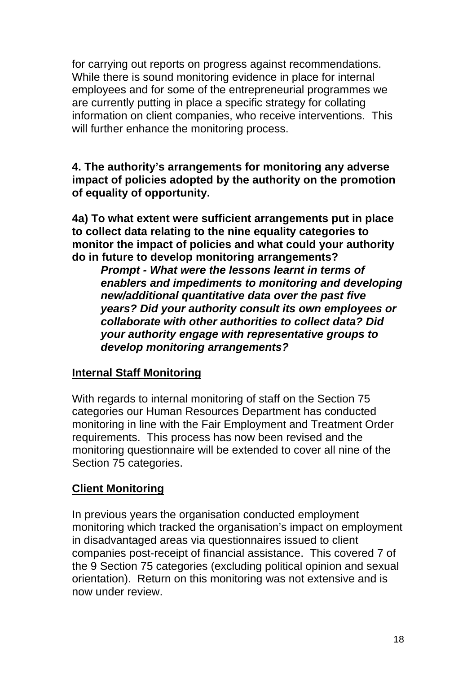for carrying out reports on progress against recommendations. While there is sound monitoring evidence in place for internal employees and for some of the entrepreneurial programmes we are currently putting in place a specific strategy for collating information on client companies, who receive interventions. This will further enhance the monitoring process.

**4. The authority's arrangements for monitoring any adverse impact of policies adopted by the authority on the promotion of equality of opportunity.** 

**4a) To what extent were sufficient arrangements put in place to collect data relating to the nine equality categories to monitor the impact of policies and what could your authority do in future to develop monitoring arrangements?** 

*Prompt - What were the lessons learnt in terms of enablers and impediments to monitoring and developing new/additional quantitative data over the past five years? Did your authority consult its own employees or collaborate with other authorities to collect data? Did your authority engage with representative groups to develop monitoring arrangements?* 

#### **Internal Staff Monitoring**

With regards to internal monitoring of staff on the Section 75 categories our Human Resources Department has conducted monitoring in line with the Fair Employment and Treatment Order requirements. This process has now been revised and the monitoring questionnaire will be extended to cover all nine of the Section 75 categories.

### **Client Monitoring**

In previous years the organisation conducted employment monitoring which tracked the organisation's impact on employment in disadvantaged areas via questionnaires issued to client companies post-receipt of financial assistance. This covered 7 of the 9 Section 75 categories (excluding political opinion and sexual orientation). Return on this monitoring was not extensive and is now under review.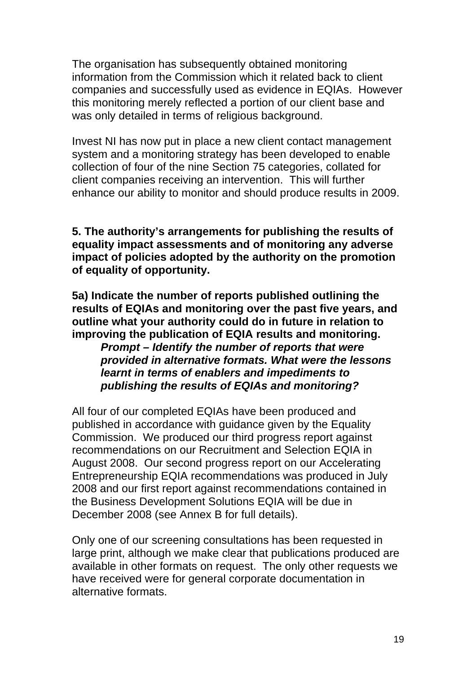The organisation has subsequently obtained monitoring information from the Commission which it related back to client companies and successfully used as evidence in EQIAs. However this monitoring merely reflected a portion of our client base and was only detailed in terms of religious background.

Invest NI has now put in place a new client contact management system and a monitoring strategy has been developed to enable collection of four of the nine Section 75 categories, collated for client companies receiving an intervention. This will further enhance our ability to monitor and should produce results in 2009.

**5. The authority's arrangements for publishing the results of equality impact assessments and of monitoring any adverse impact of policies adopted by the authority on the promotion of equality of opportunity.**

**5a) Indicate the number of reports published outlining the results of EQIAs and monitoring over the past five years, and outline what your authority could do in future in relation to improving the publication of EQIA results and monitoring.**  *Prompt – Identify the number of reports that were provided in alternative formats. What were the lessons learnt in terms of enablers and impediments to publishing the results of EQIAs and monitoring?* 

All four of our completed EQIAs have been produced and published in accordance with guidance given by the Equality Commission. We produced our third progress report against recommendations on our Recruitment and Selection EQIA in August 2008. Our second progress report on our Accelerating Entrepreneurship EQIA recommendations was produced in July 2008 and our first report against recommendations contained in the Business Development Solutions EQIA will be due in December 2008 (see Annex B for full details).

Only one of our screening consultations has been requested in large print, although we make clear that publications produced are available in other formats on request. The only other requests we have received were for general corporate documentation in alternative formats.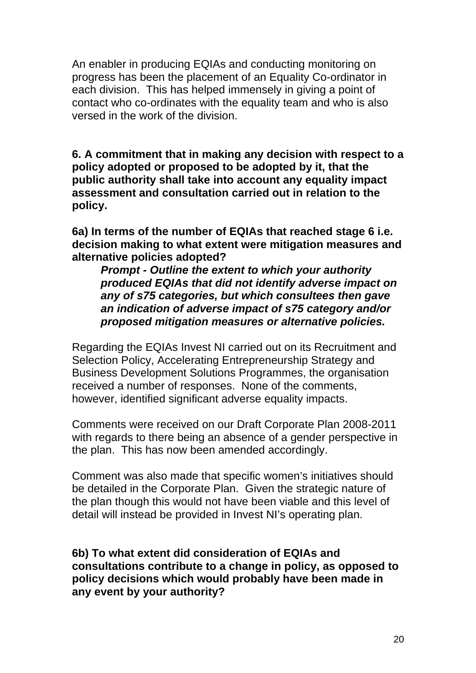An enabler in producing EQIAs and conducting monitoring on progress has been the placement of an Equality Co-ordinator in each division. This has helped immensely in giving a point of contact who co-ordinates with the equality team and who is also versed in the work of the division.

**6. A commitment that in making any decision with respect to a policy adopted or proposed to be adopted by it, that the public authority shall take into account any equality impact assessment and consultation carried out in relation to the policy.** 

**6a) In terms of the number of EQIAs that reached stage 6 i.e. decision making to what extent were mitigation measures and alternative policies adopted?** 

*Prompt - Outline the extent to which your authority produced EQIAs that did not identify adverse impact on any of s75 categories, but which consultees then gave an indication of adverse impact of s75 category and/or proposed mitigation measures or alternative policies.* 

Regarding the EQIAs Invest NI carried out on its Recruitment and Selection Policy, Accelerating Entrepreneurship Strategy and Business Development Solutions Programmes, the organisation received a number of responses. None of the comments, however, identified significant adverse equality impacts.

Comments were received on our Draft Corporate Plan 2008-2011 with regards to there being an absence of a gender perspective in the plan. This has now been amended accordingly.

Comment was also made that specific women's initiatives should be detailed in the Corporate Plan. Given the strategic nature of the plan though this would not have been viable and this level of detail will instead be provided in Invest NI's operating plan.

**6b) To what extent did consideration of EQIAs and consultations contribute to a change in policy, as opposed to policy decisions which would probably have been made in any event by your authority?**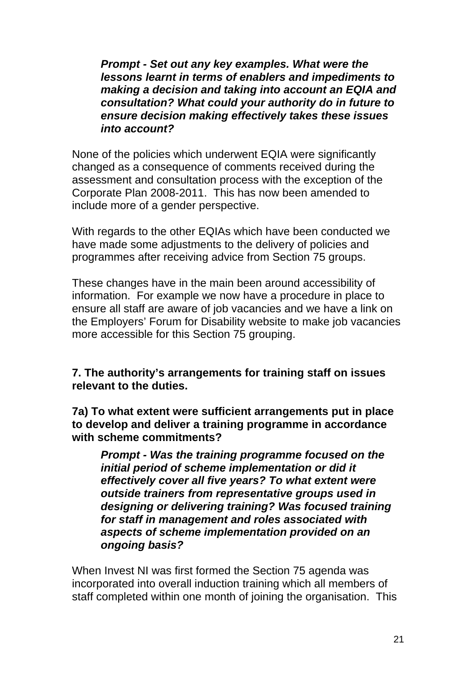*Prompt - Set out any key examples. What were the lessons learnt in terms of enablers and impediments to making a decision and taking into account an EQIA and consultation? What could your authority do in future to ensure decision making effectively takes these issues into account?* 

None of the policies which underwent EQIA were significantly changed as a consequence of comments received during the assessment and consultation process with the exception of the Corporate Plan 2008-2011. This has now been amended to include more of a gender perspective.

With regards to the other EQIAs which have been conducted we have made some adjustments to the delivery of policies and programmes after receiving advice from Section 75 groups.

These changes have in the main been around accessibility of information. For example we now have a procedure in place to ensure all staff are aware of job vacancies and we have a link on the Employers' Forum for Disability website to make job vacancies more accessible for this Section 75 grouping.

#### **7. The authority's arrangements for training staff on issues relevant to the duties.**

**7a) To what extent were sufficient arrangements put in place to develop and deliver a training programme in accordance with scheme commitments?** 

*Prompt - Was the training programme focused on the initial period of scheme implementation or did it effectively cover all five years? To what extent were outside trainers from representative groups used in designing or delivering training? Was focused training for staff in management and roles associated with aspects of scheme implementation provided on an ongoing basis?* 

When Invest NI was first formed the Section 75 agenda was incorporated into overall induction training which all members of staff completed within one month of joining the organisation. This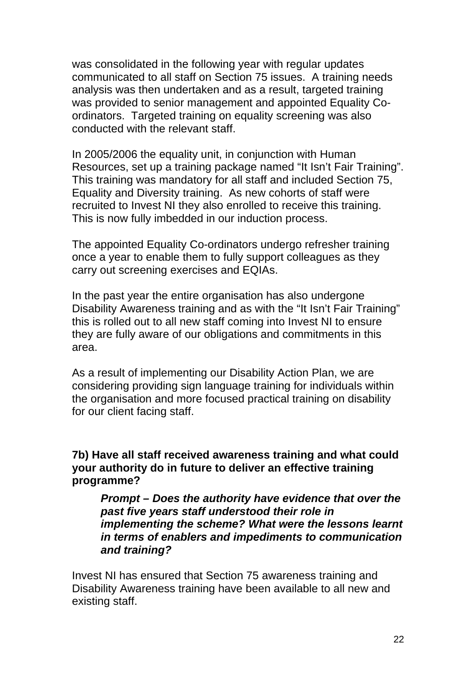was consolidated in the following year with regular updates communicated to all staff on Section 75 issues. A training needs analysis was then undertaken and as a result, targeted training was provided to senior management and appointed Equality Coordinators. Targeted training on equality screening was also conducted with the relevant staff.

In 2005/2006 the equality unit, in conjunction with Human Resources, set up a training package named "It Isn't Fair Training". This training was mandatory for all staff and included Section 75, Equality and Diversity training. As new cohorts of staff were recruited to Invest NI they also enrolled to receive this training. This is now fully imbedded in our induction process.

The appointed Equality Co-ordinators undergo refresher training once a year to enable them to fully support colleagues as they carry out screening exercises and EQIAs.

In the past year the entire organisation has also undergone Disability Awareness training and as with the "It Isn't Fair Training" this is rolled out to all new staff coming into Invest NI to ensure they are fully aware of our obligations and commitments in this area.

As a result of implementing our Disability Action Plan, we are considering providing sign language training for individuals within the organisation and more focused practical training on disability for our client facing staff.

**7b) Have all staff received awareness training and what could your authority do in future to deliver an effective training programme?** 

*Prompt – Does the authority have evidence that over the past five years staff understood their role in implementing the scheme? What were the lessons learnt in terms of enablers and impediments to communication and training?* 

Invest NI has ensured that Section 75 awareness training and Disability Awareness training have been available to all new and existing staff.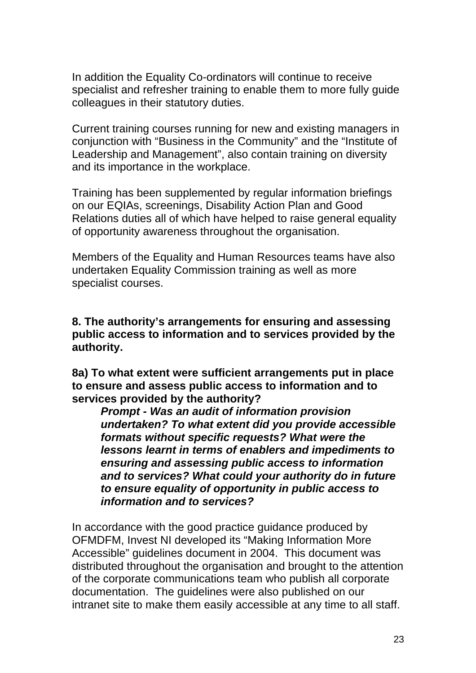In addition the Equality Co-ordinators will continue to receive specialist and refresher training to enable them to more fully guide colleagues in their statutory duties.

Current training courses running for new and existing managers in conjunction with "Business in the Community" and the "Institute of Leadership and Management", also contain training on diversity and its importance in the workplace.

Training has been supplemented by regular information briefings on our EQIAs, screenings, Disability Action Plan and Good Relations duties all of which have helped to raise general equality of opportunity awareness throughout the organisation.

Members of the Equality and Human Resources teams have also undertaken Equality Commission training as well as more specialist courses.

**8. The authority's arrangements for ensuring and assessing public access to information and to services provided by the authority.** 

**8a) To what extent were sufficient arrangements put in place to ensure and assess public access to information and to services provided by the authority?** 

*Prompt - Was an audit of information provision undertaken? To what extent did you provide accessible formats without specific requests? What were the lessons learnt in terms of enablers and impediments to ensuring and assessing public access to information and to services? What could your authority do in future to ensure equality of opportunity in public access to information and to services?* 

In accordance with the good practice guidance produced by OFMDFM, Invest NI developed its "Making Information More Accessible" guidelines document in 2004. This document was distributed throughout the organisation and brought to the attention of the corporate communications team who publish all corporate documentation. The guidelines were also published on our intranet site to make them easily accessible at any time to all staff.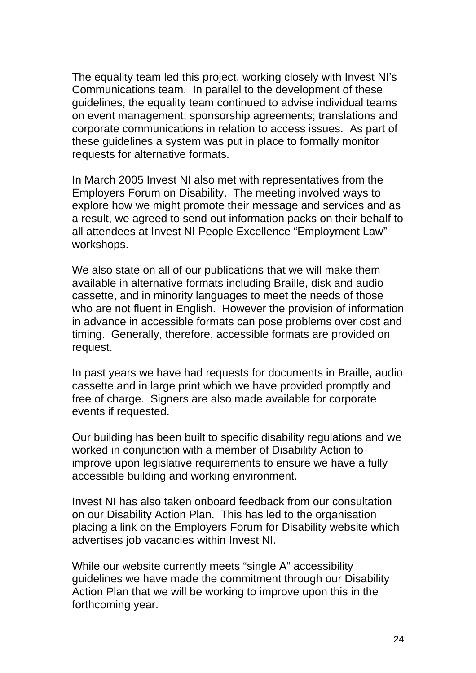The equality team led this project, working closely with Invest NI's Communications team. In parallel to the development of these guidelines, the equality team continued to advise individual teams on event management; sponsorship agreements; translations and corporate communications in relation to access issues. As part of these guidelines a system was put in place to formally monitor requests for alternative formats.

In March 2005 Invest NI also met with representatives from the Employers Forum on Disability. The meeting involved ways to explore how we might promote their message and services and as a result, we agreed to send out information packs on their behalf to all attendees at Invest NI People Excellence "Employment Law" workshops.

We also state on all of our publications that we will make them available in alternative formats including Braille, disk and audio cassette, and in minority languages to meet the needs of those who are not fluent in English. However the provision of information in advance in accessible formats can pose problems over cost and timing. Generally, therefore, accessible formats are provided on request.

In past years we have had requests for documents in Braille, audio cassette and in large print which we have provided promptly and free of charge. Signers are also made available for corporate events if requested.

Our building has been built to specific disability regulations and we worked in conjunction with a member of Disability Action to improve upon legislative requirements to ensure we have a fully accessible building and working environment.

Invest NI has also taken onboard feedback from our consultation on our Disability Action Plan. This has led to the organisation placing a link on the Employers Forum for Disability website which advertises job vacancies within Invest NI.

While our website currently meets "single A" accessibility guidelines we have made the commitment through our Disability Action Plan that we will be working to improve upon this in the forthcoming year.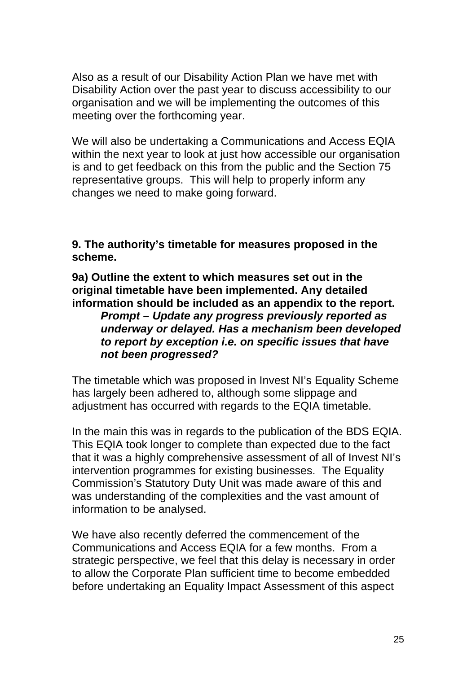Also as a result of our Disability Action Plan we have met with Disability Action over the past year to discuss accessibility to our organisation and we will be implementing the outcomes of this meeting over the forthcoming year.

We will also be undertaking a Communications and Access EQIA within the next year to look at just how accessible our organisation is and to get feedback on this from the public and the Section 75 representative groups. This will help to properly inform any changes we need to make going forward.

**9. The authority's timetable for measures proposed in the scheme.** 

**9a) Outline the extent to which measures set out in the original timetable have been implemented. Any detailed information should be included as an appendix to the report.** 

*Prompt – Update any progress previously reported as underway or delayed. Has a mechanism been developed to report by exception i.e. on specific issues that have not been progressed?* 

The timetable which was proposed in Invest NI's Equality Scheme has largely been adhered to, although some slippage and adjustment has occurred with regards to the EQIA timetable.

In the main this was in regards to the publication of the BDS EQIA. This EQIA took longer to complete than expected due to the fact that it was a highly comprehensive assessment of all of Invest NI's intervention programmes for existing businesses. The Equality Commission's Statutory Duty Unit was made aware of this and was understanding of the complexities and the vast amount of information to be analysed.

We have also recently deferred the commencement of the Communications and Access EQIA for a few months. From a strategic perspective, we feel that this delay is necessary in order to allow the Corporate Plan sufficient time to become embedded before undertaking an Equality Impact Assessment of this aspect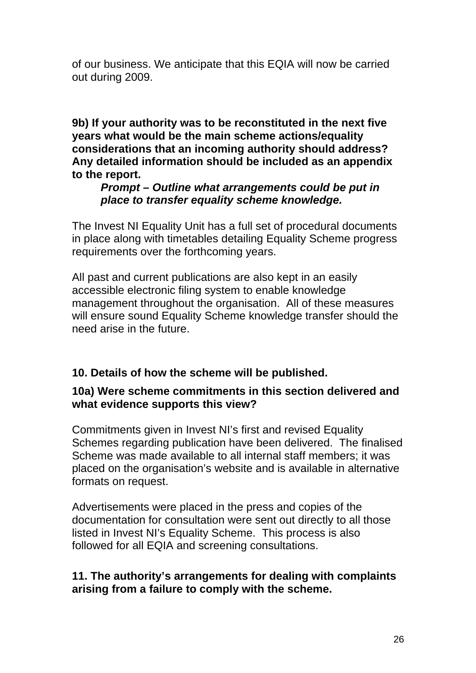of our business. We anticipate that this EQIA will now be carried out during 2009.

**9b) If your authority was to be reconstituted in the next five years what would be the main scheme actions/equality considerations that an incoming authority should address? Any detailed information should be included as an appendix to the report.** 

#### *Prompt – Outline what arrangements could be put in place to transfer equality scheme knowledge.*

The Invest NI Equality Unit has a full set of procedural documents in place along with timetables detailing Equality Scheme progress requirements over the forthcoming years.

All past and current publications are also kept in an easily accessible electronic filing system to enable knowledge management throughout the organisation. All of these measures will ensure sound Equality Scheme knowledge transfer should the need arise in the future.

#### **10. Details of how the scheme will be published.**

#### **10a) Were scheme commitments in this section delivered and what evidence supports this view?**

Commitments given in Invest NI's first and revised Equality Schemes regarding publication have been delivered. The finalised Scheme was made available to all internal staff members; it was placed on the organisation's website and is available in alternative formats on request.

Advertisements were placed in the press and copies of the documentation for consultation were sent out directly to all those listed in Invest NI's Equality Scheme. This process is also followed for all EQIA and screening consultations.

#### **11. The authority's arrangements for dealing with complaints arising from a failure to comply with the scheme.**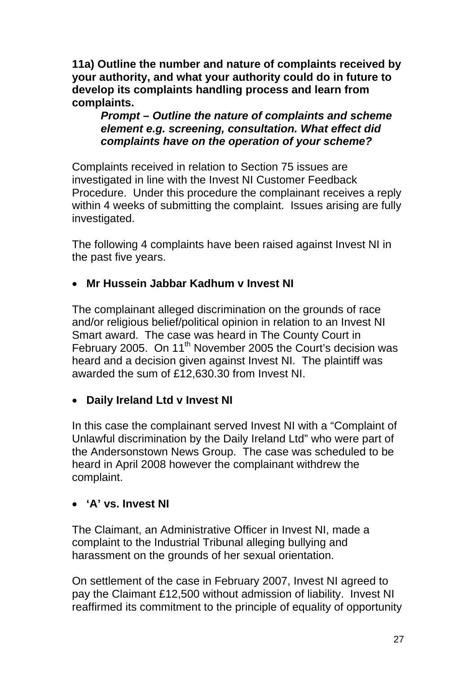**11a) Outline the number and nature of complaints received by your authority, and what your authority could do in future to develop its complaints handling process and learn from complaints.** 

*Prompt – Outline the nature of complaints and scheme element e.g. screening, consultation. What effect did complaints have on the operation of your scheme?* 

Complaints received in relation to Section 75 issues are investigated in line with the Invest NI Customer Feedback Procedure. Under this procedure the complainant receives a reply within 4 weeks of submitting the complaint. Issues arising are fully investigated.

The following 4 complaints have been raised against Invest NI in the past five years.

### • **Mr Hussein Jabbar Kadhum v Invest NI**

The complainant alleged discrimination on the grounds of race and/or religious belief/political opinion in relation to an Invest NI Smart award. The case was heard in The County Court in February 2005. On 11<sup>th</sup> November 2005 the Court's decision was heard and a decision given against Invest NI. The plaintiff was awarded the sum of £12,630.30 from Invest NI.

### • **Daily Ireland Ltd v Invest NI**

In this case the complainant served Invest NI with a "Complaint of Unlawful discrimination by the Daily Ireland Ltd" who were part of the Andersonstown News Group. The case was scheduled to be heard in April 2008 however the complainant withdrew the complaint.

### • **'A' vs. Invest NI**

The Claimant, an Administrative Officer in Invest NI, made a complaint to the Industrial Tribunal alleging bullying and harassment on the grounds of her sexual orientation.

On settlement of the case in February 2007, Invest NI agreed to pay the Claimant £12,500 without admission of liability. Invest NI reaffirmed its commitment to the principle of equality of opportunity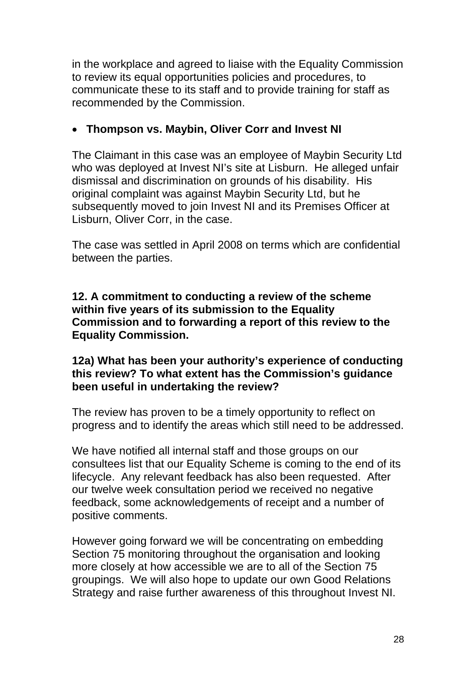in the workplace and agreed to liaise with the Equality Commission to review its equal opportunities policies and procedures, to communicate these to its staff and to provide training for staff as recommended by the Commission.

## • **Thompson vs. Maybin, Oliver Corr and Invest NI**

The Claimant in this case was an employee of Maybin Security Ltd who was deployed at Invest NI's site at Lisburn. He alleged unfair dismissal and discrimination on grounds of his disability. His original complaint was against Maybin Security Ltd, but he subsequently moved to join Invest NI and its Premises Officer at Lisburn, Oliver Corr, in the case.

The case was settled in April 2008 on terms which are confidential between the parties.

**12. A commitment to conducting a review of the scheme within five years of its submission to the Equality Commission and to forwarding a report of this review to the Equality Commission.** 

#### **12a) What has been your authority's experience of conducting this review? To what extent has the Commission's guidance been useful in undertaking the review?**

The review has proven to be a timely opportunity to reflect on progress and to identify the areas which still need to be addressed.

We have notified all internal staff and those groups on our consultees list that our Equality Scheme is coming to the end of its lifecycle. Any relevant feedback has also been requested. After our twelve week consultation period we received no negative feedback, some acknowledgements of receipt and a number of positive comments.

However going forward we will be concentrating on embedding Section 75 monitoring throughout the organisation and looking more closely at how accessible we are to all of the Section 75 groupings. We will also hope to update our own Good Relations Strategy and raise further awareness of this throughout Invest NI.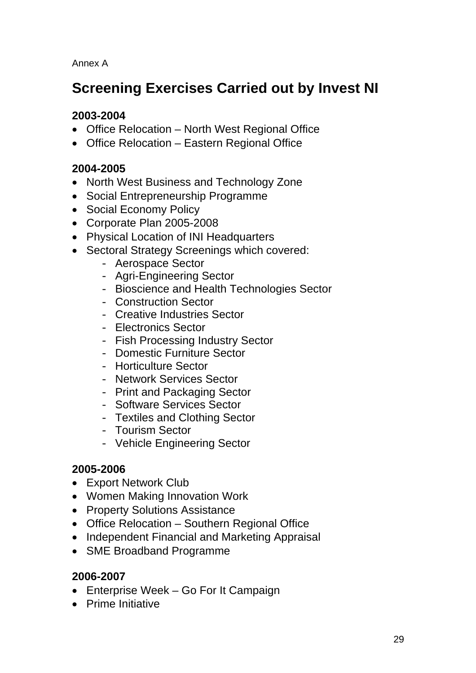Annex A

# **Screening Exercises Carried out by Invest NI**

### **2003-2004**

- Office Relocation North West Regional Office
- Office Relocation Eastern Regional Office

#### **2004-2005**

- North West Business and Technology Zone
- Social Entrepreneurship Programme
- Social Economy Policy
- Corporate Plan 2005-2008
- Physical Location of INI Headquarters
- Sectoral Strategy Screenings which covered:
	- Aerospace Sector
	- Agri-Engineering Sector
	- Bioscience and Health Technologies Sector
	- Construction Sector
	- Creative Industries Sector
	- Electronics Sector
	- Fish Processing Industry Sector
	- Domestic Furniture Sector
	- Horticulture Sector
	- Network Services Sector
	- Print and Packaging Sector
	- Software Services Sector
	- Textiles and Clothing Sector
	- Tourism Sector
	- Vehicle Engineering Sector

#### **2005-2006**

- Export Network Club
- Women Making Innovation Work
- Property Solutions Assistance
- Office Relocation Southern Regional Office
- Independent Financial and Marketing Appraisal
- SME Broadband Programme

#### **2006-2007**

- Enterprise Week Go For It Campaign
- Prime Initiative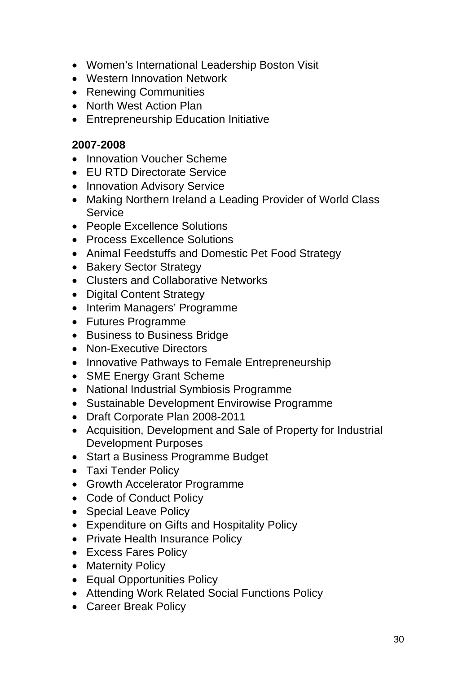- Women's International Leadership Boston Visit
- Western Innovation Network
- Renewing Communities
- North West Action Plan
- Entrepreneurship Education Initiative

#### **2007-2008**

- Innovation Voucher Scheme
- EU RTD Directorate Service
- Innovation Advisory Service
- Making Northern Ireland a Leading Provider of World Class **Service**
- People Excellence Solutions
- Process Excellence Solutions
- Animal Feedstuffs and Domestic Pet Food Strategy
- Bakery Sector Strategy
- Clusters and Collaborative Networks
- Digital Content Strategy
- Interim Managers' Programme
- Futures Programme
- Business to Business Bridge
- Non-Executive Directors
- Innovative Pathways to Female Entrepreneurship
- SME Energy Grant Scheme
- National Industrial Symbiosis Programme
- Sustainable Development Envirowise Programme
- Draft Corporate Plan 2008-2011
- Acquisition, Development and Sale of Property for Industrial Development Purposes
- Start a Business Programme Budget
- Taxi Tender Policy
- Growth Accelerator Programme
- Code of Conduct Policy
- Special Leave Policy
- Expenditure on Gifts and Hospitality Policy
- Private Health Insurance Policy
- Excess Fares Policy
- Maternity Policy
- Equal Opportunities Policy
- Attending Work Related Social Functions Policy
- Career Break Policy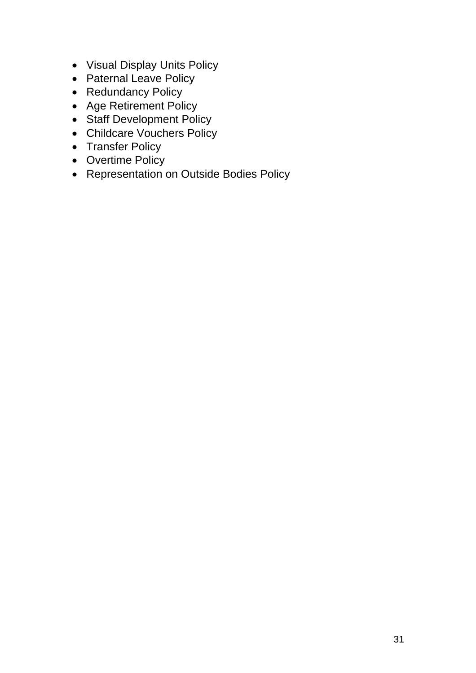- Visual Display Units Policy
- Paternal Leave Policy
- Redundancy Policy
- Age Retirement Policy
- Staff Development Policy
- Childcare Vouchers Policy
- Transfer Policy
- Overtime Policy
- Representation on Outside Bodies Policy